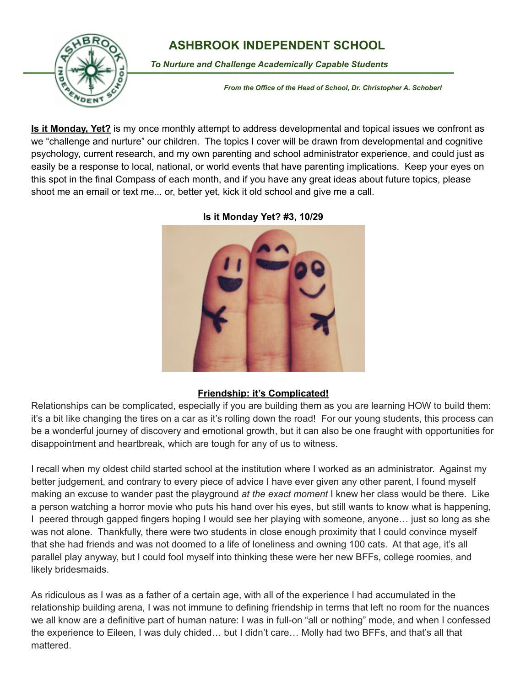

**Is it Monday, Yet?** is my once monthly attempt to address developmental and topical issues we confront as we "challenge and nurture" our children. The topics I cover will be drawn from developmental and cognitive psychology, current research, and my own parenting and school administrator experience, and could just as easily be a response to local, national, or world events that have parenting implications. Keep your eyes on this spot in the final Compass of each month, and if you have any great ideas about future topics, please shoot me an email or text me... or, better yet, kick it old school and give me a call.



**Is it Monday Yet? #3, 10/29**

## **Friendship: it's Complicated!**

Relationships can be complicated, especially if you are building them as you are learning HOW to build them: it's a bit like changing the tires on a car as it's rolling down the road! For our young students, this process can be a wonderful journey of discovery and emotional growth, but it can also be one fraught with opportunities for disappointment and heartbreak, which are tough for any of us to witness.

I recall when my oldest child started school at the institution where I worked as an administrator. Against my better judgement, and contrary to every piece of advice I have ever given any other parent, I found myself making an excuse to wander past the playground *at the exact moment* I knew her class would be there. Like a person watching a horror movie who puts his hand over his eyes, but still wants to know what is happening, I peered through gapped fingers hoping I would see her playing with someone, anyone… just so long as she was not alone. Thankfully, there were two students in close enough proximity that I could convince myself that she had friends and was not doomed to a life of loneliness and owning 100 cats. At that age, it's all parallel play anyway, but I could fool myself into thinking these were her new BFFs, college roomies, and likely bridesmaids.

As ridiculous as I was as a father of a certain age, with all of the experience I had accumulated in the relationship building arena, I was not immune to defining friendship in terms that left no room for the nuances we all know are a definitive part of human nature: I was in full-on "all or nothing" mode, and when I confessed the experience to Eileen, I was duly chided… but I didn't care… Molly had two BFFs, and that's all that mattered.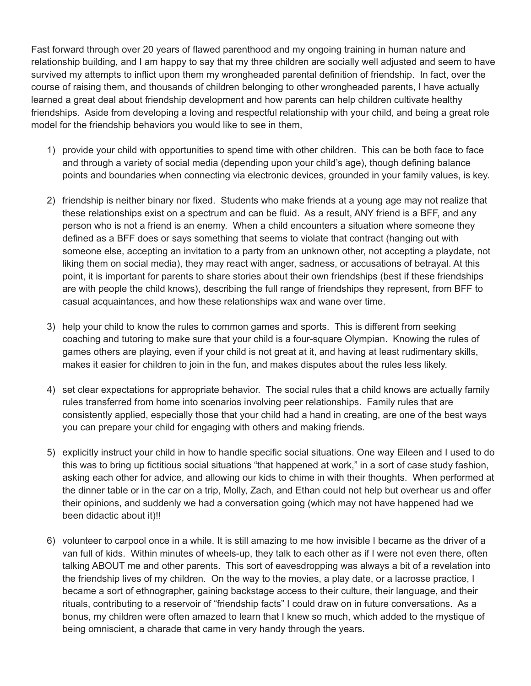Fast forward through over 20 years of flawed parenthood and my ongoing training in human nature and relationship building, and I am happy to say that my three children are socially well adjusted and seem to have survived my attempts to inflict upon them my wrongheaded parental definition of friendship. In fact, over the course of raising them, and thousands of children belonging to other wrongheaded parents, I have actually learned a great deal about friendship development and how parents can help children cultivate healthy friendships. Aside from developing a loving and respectful relationship with your child, and being a great role model for the friendship behaviors you would like to see in them,

- 1) provide your child with opportunities to spend time with other children. This can be both face to face and through a variety of social media (depending upon your child's age), though defining balance points and boundaries when connecting via electronic devices, grounded in your family values, is key.
- 2) friendship is neither binary nor fixed. Students who make friends at a young age may not realize that these relationships exist on a spectrum and can be fluid. As a result, ANY friend is a BFF, and any person who is not a friend is an enemy. When a child encounters a situation where someone they defined as a BFF does or says something that seems to violate that contract (hanging out with someone else, accepting an invitation to a party from an unknown other, not accepting a playdate, not liking them on social media), they may react with anger, sadness, or accusations of betrayal. At this point, it is important for parents to share stories about their own friendships (best if these friendships are with people the child knows), describing the full range of friendships they represent, from BFF to casual acquaintances, and how these relationships wax and wane over time.
- 3) help your child to know the rules to common games and sports. This is different from seeking coaching and tutoring to make sure that your child is a four-square Olympian. Knowing the rules of games others are playing, even if your child is not great at it, and having at least rudimentary skills, makes it easier for children to join in the fun, and makes disputes about the rules less likely.
- 4) set clear expectations for appropriate behavior. The social rules that a child knows are actually family rules transferred from home into scenarios involving peer relationships. Family rules that are consistently applied, especially those that your child had a hand in creating, are one of the best ways you can prepare your child for engaging with others and making friends.
- 5) explicitly instruct your child in how to handle specific social situations. One way Eileen and I used to do this was to bring up fictitious social situations "that happened at work," in a sort of case study fashion, asking each other for advice, and allowing our kids to chime in with their thoughts. When performed at the dinner table or in the car on a trip, Molly, Zach, and Ethan could not help but overhear us and offer their opinions, and suddenly we had a conversation going (which may not have happened had we been didactic about it)!!
- 6) volunteer to carpool once in a while. It is still amazing to me how invisible I became as the driver of a van full of kids. Within minutes of wheels-up, they talk to each other as if I were not even there, often talking ABOUT me and other parents. This sort of eavesdropping was always a bit of a revelation into the friendship lives of my children. On the way to the movies, a play date, or a lacrosse practice, I became a sort of ethnographer, gaining backstage access to their culture, their language, and their rituals, contributing to a reservoir of "friendship facts" I could draw on in future conversations. As a bonus, my children were often amazed to learn that I knew so much, which added to the mystique of being omniscient, a charade that came in very handy through the years.